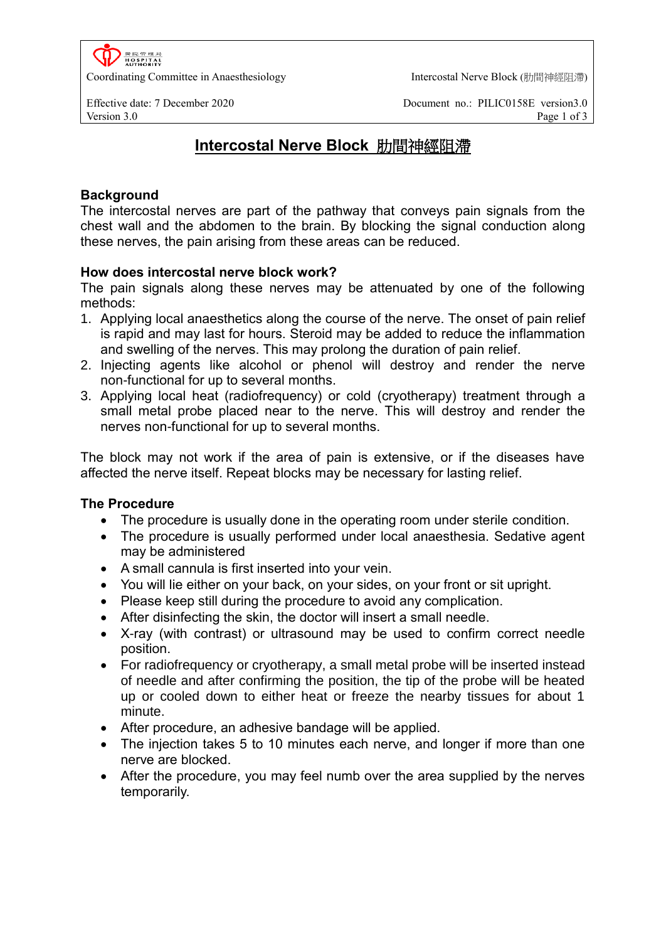置院管理局<br>HOSPITAL<br>AUTHORITY Coordinating Committee in Anaesthesiology **Intercostal Nerve Block** (肋間神經阻滯)

Effective date: 7 December 2020 Document no.: PILIC0158E version3.0 Version 3.0 Page 1 of 3

# **Intercostal Nerve Block** 肋間神經阻滯

# **Background**

The intercostal nerves are part of the pathway that conveys pain signals from the chest wall and the abdomen to the brain. By blocking the signal conduction along these nerves, the pain arising from these areas can be reduced.

## **How does intercostal nerve block work?**

The pain signals along these nerves may be attenuated by one of the following methods:

- 1. Applying local anaesthetics along the course of the nerve. The onset of pain relief is rapid and may last for hours. Steroid may be added to reduce the inflammation and swelling of the nerves. This may prolong the duration of pain relief.
- 2. Injecting agents like alcohol or phenol will destroy and render the nerve non-functional for up to several months.
- 3. Applying local heat (radiofrequency) or cold (cryotherapy) treatment through a small metal probe placed near to the nerve. This will destroy and render the nerves non-functional for up to several months.

The block may not work if the area of pain is extensive, or if the diseases have affected the nerve itself. Repeat blocks may be necessary for lasting relief.

## **The Procedure**

- The procedure is usually done in the operating room under sterile condition.
- The procedure is usually performed under local anaesthesia. Sedative agent may be administered
- A small cannula is first inserted into your vein.
- You will lie either on your back, on your sides, on your front or sit upright.
- Please keep still during the procedure to avoid any complication.
- After disinfecting the skin, the doctor will insert a small needle.
- X-ray (with contrast) or ultrasound may be used to confirm correct needle position.
- For radiofrequency or cryotherapy, a small metal probe will be inserted instead of needle and after confirming the position, the tip of the probe will be heated up or cooled down to either heat or freeze the nearby tissues for about 1 minute.
- After procedure, an adhesive bandage will be applied.
- The injection takes 5 to 10 minutes each nerve, and longer if more than one nerve are blocked.
- After the procedure, you may feel numb over the area supplied by the nerves temporarily.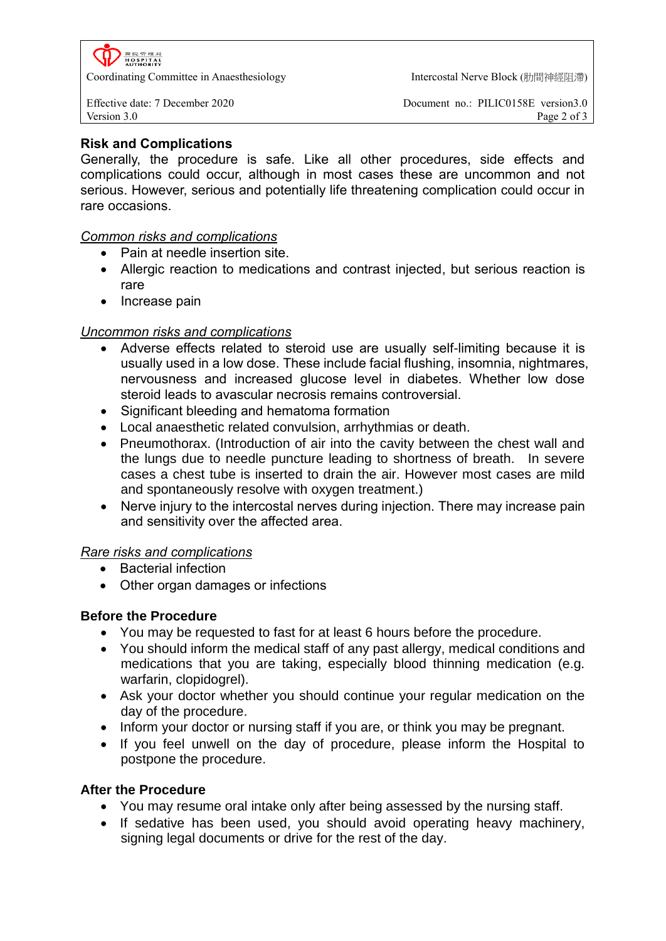**HOSPITAL**<br>AUTHORITY

Coordinating Committee in Anaesthesiology **Intercostal Nerve Block** (肋間神經阻滯)

Effective date: 7 December 2020 Document no.: PILIC0158E version3.0 Version 3.0 Page 2 of 3

# **Risk and Complications**

Generally, the procedure is safe. Like all other procedures, side effects and complications could occur, although in most cases these are uncommon and not serious. However, serious and potentially life threatening complication could occur in rare occasions.

## *Common risks and complications*

- Pain at needle insertion site.
- Allergic reaction to medications and contrast injected, but serious reaction is rare
- Increase pain

## *Uncommon risks and complications*

- Adverse effects related to steroid use are usually self-limiting because it is usually used in a low dose. These include facial flushing, insomnia, nightmares, nervousness and increased glucose level in diabetes. Whether low dose steroid leads to avascular necrosis remains controversial.
- Significant bleeding and hematoma formation
- Local anaesthetic related convulsion, arrhythmias or death.
- Pneumothorax. (Introduction of air into the cavity between the chest wall and the lungs due to needle puncture leading to shortness of breath. In severe cases a chest tube is inserted to drain the air. However most cases are mild and spontaneously resolve with oxygen treatment.)
- Nerve injury to the intercostal nerves during injection. There may increase pain and sensitivity over the affected area.

## *Rare risks and complications*

- Bacterial infection
- Other organ damages or infections

# **Before the Procedure**

- You may be requested to fast for at least 6 hours before the procedure.
- You should inform the medical staff of any past allergy, medical conditions and medications that you are taking, especially blood thinning medication (e.g. warfarin, clopidogrel).
- Ask your doctor whether you should continue your regular medication on the day of the procedure.
- Inform your doctor or nursing staff if you are, or think you may be pregnant.
- If you feel unwell on the day of procedure, please inform the Hospital to postpone the procedure.

## **After the Procedure**

- You may resume oral intake only after being assessed by the nursing staff.
- If sedative has been used, you should avoid operating heavy machinery, signing legal documents or drive for the rest of the day.